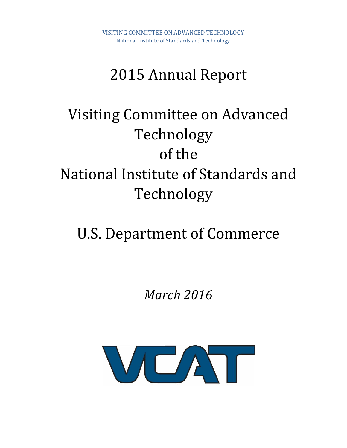# 2015 Annual Report

# Visiting Committee on Advanced Technology of the National Institute of Standards and Technology

# U.S. Department of Commerce

*March 2016*

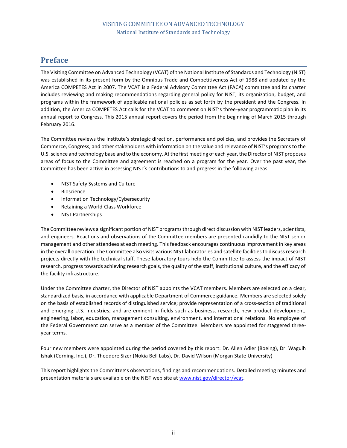# <span id="page-1-0"></span>**Preface**

The Visiting Committee on Advanced Technology (VCAT) of the National Institute of Standards and Technology (NIST) was established in its present form by the Omnibus Trade and Competitiveness Act of 1988 and updated by the America COMPETES Act in 2007. The VCAT is a Federal Advisory Committee Act (FACA) committee and its charter includes reviewing and making recommendations regarding general policy for NIST, its organization, budget, and programs within the framework of applicable national policies as set forth by the president and the Congress. In addition, the America COMPETES Act calls for the VCAT to comment on NIST's three-year programmatic plan in its annual report to Congress. This 2015 annual report covers the period from the beginning of March 2015 through February 2016.

The Committee reviews the Institute's strategic direction, performance and policies, and provides the Secretary of Commerce, Congress, and other stakeholders with information on the value and relevance of NIST's programs to the U.S. science and technology base and to the economy. At the first meeting of each year, the Director of NIST proposes areas of focus to the Committee and agreement is reached on a program for the year. Over the past year, the Committee has been active in assessing NIST's contributions to and progress in the following areas:

- NIST Safety Systems and Culture
- Bioscience
- Information Technology/Cybersecurity
- Retaining a World-Class Workforce
- NIST Partnerships

The Committee reviews a significant portion of NIST programs through direct discussion with NIST leaders, scientists, and engineers. Reactions and observations of the Committee members are presented candidly to the NIST senior management and other attendees at each meeting. This feedback encourages continuous improvement in key areas in the overall operation. The Committee also visits various NIST laboratories and satellite facilities to discuss research projects directly with the technical staff. These laboratory tours help the Committee to assess the impact of NIST research, progress towards achieving research goals, the quality of the staff, institutional culture, and the efficacy of the facility infrastructure.

Under the Committee charter, the Director of NIST appoints the VCAT members. Members are selected on a clear, standardized basis, in accordance with applicable Department of Commerce guidance. Members are selected solely on the basis of established records of distinguished service; provide representation of a cross-section of traditional and emerging U.S. industries; and are eminent in fields such as business, research, new product development, engineering, labor, education, management consulting, environment, and international relations. No employee of the Federal Government can serve as a member of the Committee. Members are appointed for staggered threeyear terms.

Four new members were appointed during the period covered by this report: Dr. Allen Adler (Boeing), Dr. Waguih Ishak (Corning, Inc.), Dr. Theodore Sizer (Nokia Bell Labs), Dr. David Wilson (Morgan State University)

This report highlights the Committee's observations, findings and recommendations. Detailed meeting minutes and presentation materials are available on the NIST web site a[t www.nist.gov/director/vcat.](http://www.nist.gov/director/vcat)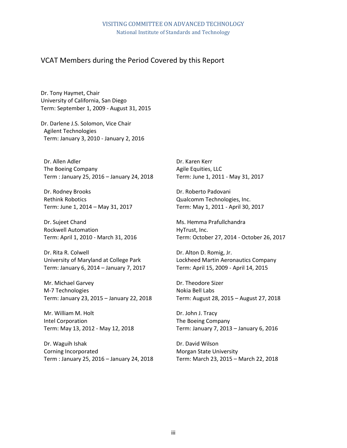# VCAT Members during the Period Covered by this Report

Dr. Tony Haymet, Chair University of California, San Diego Term: September 1, 2009 - August 31, 2015

Dr. Darlene J.S. Solomon, Vice Chair Agilent Technologies Term: January 3, 2010 - January 2, 2016

Dr. Allen Adler The Boeing Company Term : January 25, 2016 – January 24, 2018

Dr. Rodney Brooks Rethink Robotics Term: June 1, 2014 – May 31, 2017

Dr. Sujeet Chand Rockwell Automation Term: April 1, 2010 - March 31, 2016

Dr. Rita R. Colwell University of Maryland at College Park Term: January 6, 2014 – January 7, 2017

Mr. Michael Garvey M-7 Technologies Term: January 23, 2015 – January 22, 2018

Mr. William M. Holt Intel Corporation Term: May 13, 2012 - May 12, 2018

Dr. Waguih Ishak Corning Incorporated Term : January 25, 2016 – January 24, 2018

Dr. Karen Kerr Agile Equities, LLC Term: June 1, 2011 - May 31, 2017

Dr. Roberto Padovani Qualcomm Technologies, Inc. Term: May 1, 2011 - April 30, 2017

Ms. Hemma Prafullchandra HyTrust, Inc. Term: October 27, 2014 - October 26, 2017

Dr. Alton D. Romig, Jr. Lockheed Martin Aeronautics Company Term: April 15, 2009 - April 14, 2015

Dr. Theodore Sizer Nokia Bell Labs Term: August 28, 2015 – August 27, 2018

Dr. John J. Tracy The Boeing Company Term: January 7, 2013 – January 6, 2016

Dr. David Wilson Morgan State University Term: March 23, 2015 – March 22, 2018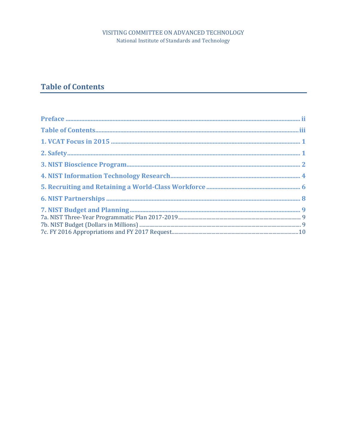# VISITING COMMITTEE ON ADVANCED TECHNOLOGY National Institute of Standards and Technology

# <span id="page-3-0"></span>**Table of Contents**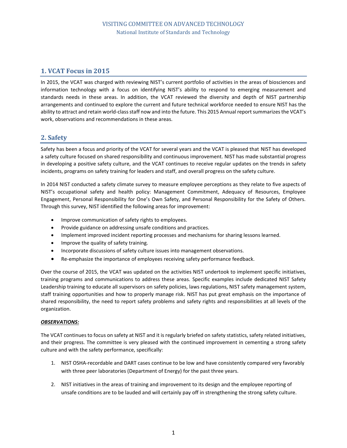# <span id="page-4-0"></span>**1. VCAT Focus in 2015**

In 2015, the VCAT was charged with reviewing NIST's current portfolio of activities in the areas of biosciences and information technology with a focus on identifying NIST's ability to respond to emerging measurement and standards needs in these areas. In addition, the VCAT reviewed the diversity and depth of NIST partnership arrangements and continued to explore the current and future technical workforce needed to ensure NIST has the ability to attract and retain world-class staff now and into the future. This 2015 Annual report summarizes the VCAT's work, observations and recommendations in these areas.

### <span id="page-4-1"></span>**2. Safety**

Safety has been a focus and priority of the VCAT for several years and the VCAT is pleased that NIST has developed a safety culture focused on shared responsibility and continuous improvement. NIST has made substantial progress in developing a positive safety culture, and the VCAT continues to receive regular updates on the trends in safety incidents, programs on safety training for leaders and staff, and overall progress on the safety culture.

In 2014 NIST conducted a safety climate survey to measure employee perceptions as they relate to five aspects of NIST's occupational safety and health policy: Management Commitment, Adequacy of Resources, Employee Engagement, Personal Responsibility for One's Own Safety, and Personal Responsibility for the Safety of Others. Through this survey, NIST identified the following areas for improvement:

- **•** Improve communication of safety rights to employees.
- Provide guidance on addressing unsafe conditions and practices.
- Implement improved incident reporting processes and mechanisms for sharing lessons learned.
- Improve the quality of safety training.
- Incorporate discussions of safety culture issues into management observations.
- Re-emphasize the importance of employees receiving safety performance feedback.

Over the course of 2015, the VCAT was updated on the activities NIST undertook to implement specific initiatives, training programs and communications to address these areas. Specific examples include dedicated NIST Safety Leadership training to educate all supervisors on safety policies, laws regulations, NIST safety management system, staff training opportunities and how to properly manage risk. NIST has put great emphasis on the importance of shared responsibility, the need to report safety problems and safety rights and responsibilities at all levels of the organization.

#### *OBSERVATIONS:*

The VCAT continues to focus on safety at NIST and it is regularly briefed on safety statistics, safety related initiatives, and their progress. The committee is very pleased with the continued improvement in cementing a strong safety culture and with the safety performance, specifically:

- 1. NIST OSHA-recordable and DART cases continue to be low and have consistently compared very favorably with three peer laboratories (Department of Energy) for the past three years.
- 2. NIST initiatives in the areas of training and improvement to its design and the employee reporting of unsafe conditions are to be lauded and will certainly pay off in strengthening the strong safety culture.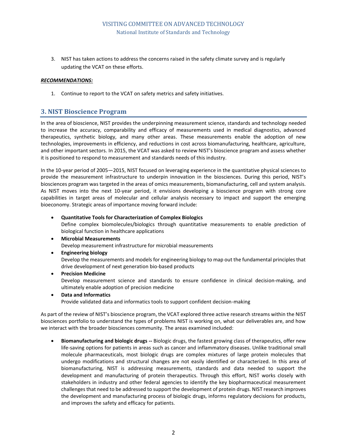3. NIST has taken actions to address the concerns raised in the safety climate survey and is regularly updating the VCAT on these efforts.

#### *RECOMMENDATIONS:*

1. Continue to report to the VCAT on safety metrics and safety initiatives.

#### <span id="page-5-0"></span>**3. NIST Bioscience Program**

In the area of bioscience, NIST provides the underpinning measurement science, standards and technology needed to increase the accuracy, comparability and efficacy of measurements used in medical diagnostics, advanced therapeutics, synthetic biology, and many other areas. These measurements enable the adoption of new technologies, improvements in efficiency, and reductions in cost across biomanufacturing, healthcare, agriculture, and other important sectors. In 2015, the VCAT was asked to review NIST's bioscience program and assess whether it is positioned to respond to measurement and standards needs of this industry.

In the 10-year period of 2005—2015, NIST focused on leveraging experience in the quantitative physical sciences to provide the measurement infrastructure to underpin innovation in the biosciences. During this period, NIST's biosciences program was targeted in the areas of omics measurements, biomanufacturing, cell and system analysis. As NIST moves into the next 10-year period, it envisions developing a bioscience program with strong core capabilities in target areas of molecular and cellular analysis necessary to impact and support the emerging bioeconomy. Strategic areas of importance moving forward include:

**Quantitative Tools for Characterization of Complex Biologics**

Define complex biomolecules/biologics through quantitative measurements to enable prediction of biological function in healthcare applications

- **Microbial Measurements** Develop measurement infrastructure for microbial measurements
- **Engineering biology**

Develop the measurements and models for engineering biology to map out the fundamental principles that drive development of next generation bio-based products

**Precision Medicine**

Develop measurement science and standards to ensure confidence in clinical decision-making, and ultimately enable adoption of precision medicine

 **Data and Informatics** Provide validated data and informatics tools to support confident decision-making

we interact with the broader biosciences community. The areas examined included:

As part of the review of NIST's bioscience program, the VCAT explored three active research streams within the NIST biosciences portfolio to understand the types of problems NIST is working on, what our deliverables are, and how

 **Biomanufacturing and biologic drugs --** Biologic drugs, the fastest growing class of therapeutics, offer new life-saving options for patients in areas such as cancer and inflammatory diseases. Unlike traditional small molecule pharmaceuticals, most biologic drugs are complex mixtures of large protein molecules that undergo modifications and structural changes are not easily identified or characterized. In this area of biomanufacturing, NIST is addressing measurements, standards and data needed to support the development and manufacturing of protein therapeutics. Through this effort, NIST works closely with stakeholders in industry and other federal agencies to identify the key biopharmaceutical measurement challenges that need to be addressed to support the development of protein drugs. NIST research improves the development and manufacturing process of biologic drugs, informs regulatory decisions for products, and improves the safety and efficacy for patients.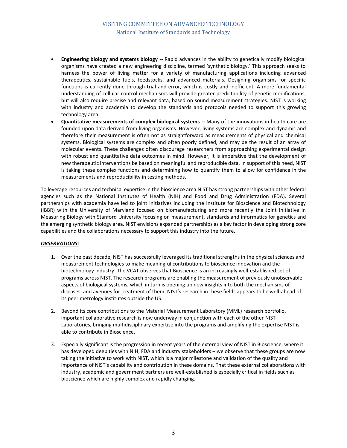- **Engineering biology and systems biology --** Rapid advances in the ability to genetically modify biological organisms have created a new engineering discipline, termed 'synthetic biology.' This approach seeks to harness the power of living matter for a variety of manufacturing applications including advanced therapeutics, sustainable fuels, feedstocks, and advanced materials. Designing organisms for specific functions is currently done through trial-and-error, which is costly and inefficient. A more fundamental understanding of cellular control mechanisms will provide greater predictability of genetic modifications, but will also require precise and relevant data, based on sound measurement strategies. NIST is working with industry and academia to develop the standards and protocols needed to support this growing technology area.
- **Quantitative measurements of complex biological systems --** Many of the innovations in health care are founded upon data derived from living organisms. However, living systems are complex and dynamic and therefore their measurement is often not as straightforward as measurements of physical and chemical systems. Biological systems are complex and often poorly defined, and may be the result of an array of molecular events. These challenges often discourage researchers from approaching experimental design with robust and quantitative data outcomes in mind. However, it is imperative that the development of new therapeutic interventions be based on meaningful and reproducible data. In support of this need, NIST is taking these complex functions and determining how to quantify them to allow for confidence in the measurements and reproducibility in testing methods.

To leverage resources and technical expertise in the bioscience area NIST has strong partnerships with other federal agencies such as the National Institutes of Health (NIH) and Food and Drug Administration (FDA). Several partnerships with academia have led to joint initiatives including the Institute for Bioscience and Biotechnology (IBBR) with the University of Maryland focused on biomanufacturing and more recently the Joint Initiative in Measuring Biology with Stanford University focusing on measurement, standards and informatics for genetics and the emerging synthetic biology area. NIST envisions expanded partnerships as a key factor in developing strong core capabilities and the collaborations necessary to support this industry into the future.

#### *OBSERVATIONS:*

- 1. Over the past decade, NIST has successfully leveraged its traditional strengths in the physical sciences and measurement technologies to make meaningful contributions to bioscience innovation and the biotechnology industry. The VCAT observes that Bioscience is an increasingly well-established set of programs across NIST. The research programs are enabling the measurement of previously unobservable aspects of biological systems, which in turn is opening up new insights into both the mechanisms of diseases, and avenues for treatment of them. NIST's research in these fields appears to be well-ahead of its peer metrology institutes outside the US.
- 2. Beyond its core contributions to the Material Measurement Laboratory (MML) research portfolio, important collaborative research is now underway in conjunction with each of the other NIST Laboratories, bringing multidisciplinary expertise into the programs and amplifying the expertise NIST is able to contribute in Bioscience.
- 3. Especially significant is the progression in recent years of the external view of NIST in Bioscience, where it has developed deep ties with NIH, FDA and industry stakeholders - we observe that these groups are now taking the initiative to work with NIST, which is a major milestone and validation of the quality and importance of NIST's capability and contribution in these domains. That these external collaborations with industry, academic and government partners are well-established is especially critical in fields such as bioscience which are highly complex and rapidly changing.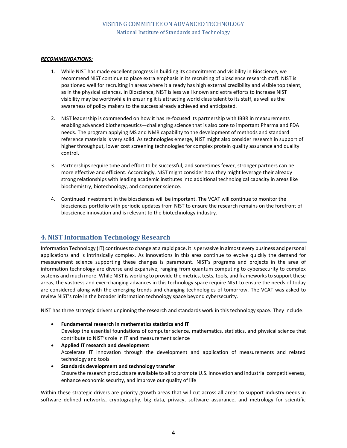#### *RECOMMENDATIONS:*

- 1. While NIST has made excellent progress in building its commitment and visibility in Bioscience, we recommend NIST continue to place extra emphasis in its recruiting of bioscience research staff. NIST is positioned well for recruiting in areas where it already has high external credibility and visible top talent, as in the physical sciences. In Bioscience, NIST is less well known and extra efforts to increase NIST visibility may be worthwhile in ensuring it is attracting world class talent to its staff, as well as the awareness of policy makers to the success already achieved and anticipated.
- 2. NIST leadership is commended on how it has re-focused its partnership with IBBR in measurements enabling advanced biotherapeutics—challenging science that is also core to important Pharma and FDA needs. The program applying MS and NMR capability to the development of methods and standard reference materials is very solid. As technologies emerge, NIST might also consider research in support of higher throughput, lower cost screening technologies for complex protein quality assurance and quality control.
- 3. Partnerships require time and effort to be successful, and sometimes fewer, stronger partners can be more effective and efficient. Accordingly, NIST might consider how they might leverage their already strong relationships with leading academic institutes into additional technological capacity in areas like biochemistry, biotechnology, and computer science.
- 4. Continued investment in the biosciences will be important. The VCAT will continue to monitor the biosciences portfolio with periodic updates from NIST to ensure the research remains on the forefront of bioscience innovation and is relevant to the biotechnology industry.

### <span id="page-7-0"></span>**4. NIST Information Technology Research**

Information Technology (IT) continues to change at a rapid pace, it is pervasive in almost every business and personal applications and is intrinsically complex. As innovations in this area continue to evolve quickly the demand for measurement science supporting these changes is paramount. NIST's programs and projects in the area of information technology are diverse and expansive, ranging from quantum computing to cybersecurity to complex systems and much more. While NIST is working to provide the metrics, tests, tools, and frameworks to support these areas, the vastness and ever-changing advances in this technology space require NIST to ensure the needs of today are considered along with the emerging trends and changing technologies of tomorrow. The VCAT was asked to review NIST's role in the broader information technology space beyond cybersecurity.

NIST has three strategic drivers unpinning the research and standards work in this technology space. They include:

- **Fundamental research in mathematics statistics and IT** Develop the essential foundations of computer science, mathematics, statistics, and physical science that contribute to NIST's role in IT and measurement science
- **Applied IT research and development** Accelerate IT innovation through the development and application of measurements and related technology and tools
- **Standards development and technology transfer**  Ensure the research products are available to all to promote U.S. innovation and industrial competitiveness, enhance economic security, and improve our quality of life

Within these strategic drivers are priority growth areas that will cut across all areas to support industry needs in software defined networks, cryptography, big data, privacy, software assurance, and metrology for scientific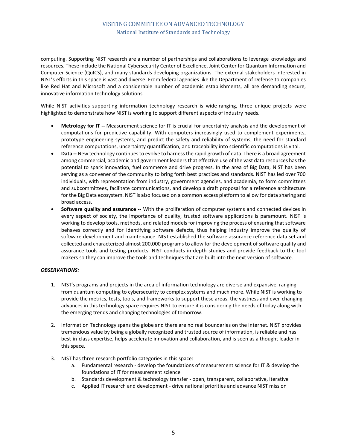computing. Supporting NIST research are a number of partnerships and collaborations to leverage knowledge and resources. These include the National Cybersecurity Center of Excellence, Joint Center for Quantum Information and Computer Science (QuICS), and many standards developing organizations. The external stakeholders interested in NIST's efforts in this space is vast and diverse. From federal agencies like the Department of Defense to companies like Red Hat and Microsoft and a considerable number of academic establishments, all are demanding secure, innovative information technology solutions.

While NIST activities supporting information technology research is wide-ranging, three unique projects were highlighted to demonstrate how NIST is working to support different aspects of industry needs.

- **Metrology for IT --** Measurement science for IT is crucial for uncertainty analysis and the development of computations for predictive capability. With computers increasingly used to complement experiments, prototype engineering systems, and predict the safety and reliability of systems, the need for standard reference computations, uncertainty quantification, and traceability into scientific computations is vital.
- **Data --** New technology continues to evolve to harness the rapid growth of data. There is a broad agreement among commercial, academic and government leaders that effective use of the vast data resources has the potential to spark innovation, fuel commerce and drive progress. In the area of Big Data, NIST has been serving as a convener of the community to bring forth best practices and standards. NIST has led over 700 individuals, with representation from industry, government agencies, and academia, to form committees and subcommittees, facilitate communications, and develop a draft proposal for a reference architecture for the Big Data ecosystem. NIST is also focused on a common access platform to allow for data sharing and broad access.
- **Software quality and assurance --** With the proliferation of computer systems and connected devices in every aspect of society, the importance of quality, trusted software applications is paramount. NIST is working to develop tools, methods, and related models for improving the process of ensuring that software behaves correctly and for identifying software defects, thus helping industry improve the quality of software development and maintenance. NIST established the software assurance reference data set and collected and characterized almost 200,000 programs to allow for the development of software quality and assurance tools and testing products. NIST conducts in-depth studies and provide feedback to the tool makers so they can improve the tools and techniques that are built into the next version of software.

#### *OBSERVATIONS:*

- 1. NIST's programs and projects in the area of information technology are diverse and expansive, ranging from quantum computing to cybersecurity to complex systems and much more. While NIST is working to provide the metrics, tests, tools, and frameworks to support these areas, the vastness and ever-changing advances in this technology space requires NIST to ensure it is considering the needs of today along with the emerging trends and changing technologies of tomorrow.
- 2. Information Technology spans the globe and there are no real boundaries on the Internet. NIST provides tremendous value by being a globally recognized and trusted source of information, is reliable and has best-in-class expertise, helps accelerate innovation and collaboration, and is seen as a thought leader in this space.
- 3. NIST has three research portfolio categories in this space:
	- a. Fundamental research develop the foundations of measurement science for IT & develop the foundations of IT for measurement science
	- b. Standards development & technology transfer open, transparent, collaborative, iterative
	- c. Applied IT research and development drive national priorities and advance NIST mission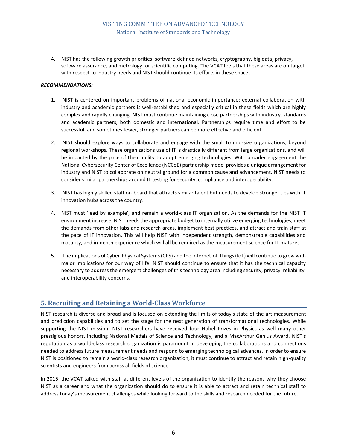4. NIST has the following growth priorities: software-defined networks, cryptography, big data, privacy, software assurance, and metrology for scientific computing. The VCAT feels that these areas are on target with respect to industry needs and NIST should continue its efforts in these spaces.

#### *RECOMMENDATIONS:*

- 1. NIST is centered on important problems of national economic importance; external collaboration with industry and academic partners is well-established and especially critical in these fields which are highly complex and rapidly changing. NIST must continue maintaining close partnerships with industry, standards and academic partners, both domestic and international. Partnerships require time and effort to be successful, and sometimes fewer, stronger partners can be more effective and efficient.
- 2. NIST should explore ways to collaborate and engage with the small to mid-size organizations, beyond regional workshops. These organizations use of IT is drastically different from large organizations, and will be impacted by the pace of their ability to adopt emerging technologies. With broader engagement the National Cybersecurity Center of Excellence (NCCoE) partnership model provides a unique arrangement for industry and NIST to collaborate on neutral ground for a common cause and advancement. NIST needs to consider similar partnerships around IT testing for security, compliance and interoperability.
- 3. NIST has highly skilled staff on-board that attracts similar talent but needs to develop stronger ties with IT innovation hubs across the country.
- 4. NIST must 'lead by example', and remain a world-class IT organization. As the demands for the NIST IT environment increase, NIST needs the appropriate budget to internally utilize emerging technologies, meet the demands from other labs and research areas, implement best practices, and attract and train staff at the pace of IT innovation. This will help NIST with independent strength, demonstrable capabilities and maturity, and in-depth experience which will all be required as the measurement science for IT matures.
- 5. The implications of Cyber-Physical Systems (CPS) and the Internet-of-Things (IoT) will continue to grow with major implications for our way of life. NIST should continue to ensure that it has the technical capacity necessary to address the emergent challenges of this technology area including security, privacy, reliability, and interoperability concerns.

### <span id="page-9-0"></span>**5. Recruiting and Retaining a World-Class Workforce**

NIST research is diverse and broad and is focused on extending the limits of today's state-of-the-art measurement and prediction capabilities and to set the stage for the next generation of transformational technologies. While supporting the NIST mission, NIST researchers have received four Nobel Prizes in Physics as well many other prestigious honors, including National Medals of Science and Technology, and a MacArthur Genius Award. NIST's reputation as a world-class research organization is paramount in developing the collaborations and connections needed to address future measurement needs and respond to emerging technological advances. In order to ensure NIST is positioned to remain a world-class research organization, it must continue to attract and retain high-quality scientists and engineers from across all fields of science.

In 2015, the VCAT talked with staff at different levels of the organization to identify the reasons why they choose NIST as a career and what the organization should do to ensure it is able to attract and retain technical staff to address today's measurement challenges while looking forward to the skills and research needed for the future.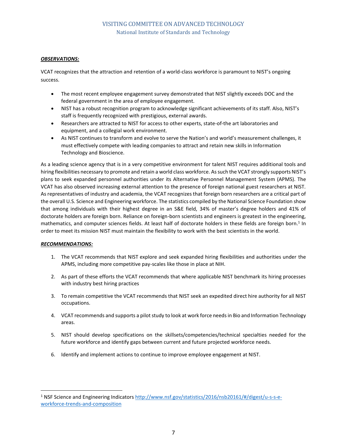#### *OBSERVATIONS:*

VCAT recognizes that the attraction and retention of a world-class workforce is paramount to NIST's ongoing success.

- The most recent employee engagement survey demonstrated that NIST slightly exceeds DOC and the federal government in the area of employee engagement.
- NIST has a robust recognition program to acknowledge significant achievements of its staff. Also, NIST's staff is frequently recognized with prestigious, external awards.
- Researchers are attracted to NIST for access to other experts, state-of-the art laboratories and equipment, and a collegial work environment.
- As NIST continues to transform and evolve to serve the Nation's and world's measurement challenges, it must effectively compete with leading companies to attract and retain new skills in Information Technology and Bioscience.

As a leading science agency that is in a very competitive environment for talent NIST requires additional tools and hiring flexibilities necessary to promote and retain a world class workforce. As such the VCAT strongly supports NIST's plans to seek expanded personnel authorities under its Alternative Personnel Management System (APMS). The VCAT has also observed increasing external attention to the presence of foreign national guest researchers at NIST. As representatives of industry and academia, the VCAT recognizes that foreign born researchers are a critical part of the overall U.S. Science and Engineering workforce. The statistics compiled by the National Science Foundation show that among individuals with their highest degree in an S&E field, 34% of master's degree holders and 41% of doctorate holders are foreign born. Reliance on foreign-born scientists and engineers is greatest in the engineering, mathematics, and computer sciences fields. At least half of doctorate holders in these fields are foreign born.<sup>1</sup> In order to meet its mission NIST must maintain the flexibility to work with the best scientists in the world.

#### *RECOMMENDATIONS:*

l

- 1. The VCAT recommends that NIST explore and seek expanded hiring flexibilities and authorities under the APMS, including more competitive pay-scales like those in place at NIH.
- 2. As part of these efforts the VCAT recommends that where applicable NIST benchmark its hiring processes with industry best hiring practices
- 3. To remain competitive the VCAT recommends that NIST seek an expedited direct hire authority for all NIST occupations.
- 4. VCAT recommends and supports a pilot study to look at work force needs in Bio and Information Technology areas.
- 5. NIST should develop specifications on the skillsets/competencies/technical specialties needed for the future workforce and identify gaps between current and future projected workforce needs.
- 6. Identify and implement actions to continue to improve employee engagement at NIST.

<sup>&</sup>lt;sup>1</sup> NSF Science and Engineering Indicators [http://www.nsf.gov/statistics/2016/nsb20161/#/digest/u-s-s-e](http://www.nsf.gov/statistics/2016/nsb20161/#/digest/u-s-s-e-workforce-trends-and-composition)[workforce-trends-and-composition](http://www.nsf.gov/statistics/2016/nsb20161/#/digest/u-s-s-e-workforce-trends-and-composition)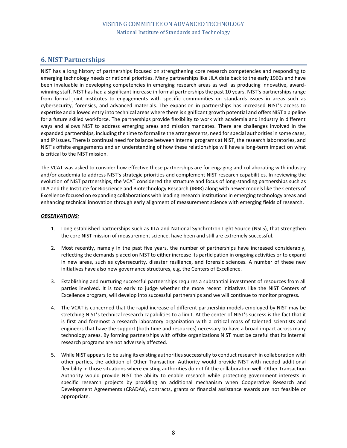# <span id="page-11-0"></span>**6. NIST Partnerships**

NIST has a long history of partnerships focused on strengthening core research competencies and responding to emerging technology needs or national priorities. Many partnerships like JILA date back to the early 1960s and have been invaluable in developing competencies in emerging research areas as well as producing innovative, awardwinning staff. NIST has had a significant increase in formal partnerships the past 10 years. NIST's partnerships range from formal joint institutes to engagements with specific communities on standards issues in areas such as cybersecurity, forensics, and advanced materials. The expansion in partnerships has increased NIST's access to expertise and allowed entry into technical areas where there is significant growth potential and offers NIST a pipeline for a future skilled workforce. The partnerships provide flexibility to work with academia and industry in different ways and allows NIST to address emerging areas and mission mandates. There are challenges involved in the expanded partnerships, including the time to formalize the arrangements, need for special authorities in some cases, and IP issues. There is continual need for balance between internal programs at NIST, the research laboratories, and NIST's offsite engagements and an understanding of how these relationships will have a long-term impact on what is critical to the NIST mission.

The VCAT was asked to consider how effective these partnerships are for engaging and collaborating with industry and/or academia to address NIST's strategic priorities and complement NIST research capabilities. In reviewing the evolution of NIST partnerships, the VCAT considered the structure and focus of long-standing partnerships such as JILA and the Institute for Bioscience and Biotechnology Research (IBBR) along with newer models like the Centers of Excellence focused on expanding collaborations with leading research institutions in emerging technology areas and enhancing technical innovation through early alignment of measurement science with emerging fields of research.

#### *OBSERVATIONS:*

- 1. Long established partnerships such as JILA and National Synchrotron Light Source (NSLS), that strengthen the core NIST mission of measurement science, have been and still are extremely successful.
- 2. Most recently, namely in the past five years, the number of partnerships have increased considerably, reflecting the demands placed on NIST to either increase its participation in ongoing activities or to expand in new areas, such as cybersecurity, disaster resilience, and forensic sciences. A number of these new initiatives have also new governance structures, e.g. the Centers of Excellence.
- 3. Establishing and nurturing successful partnerships requires a substantial investment of resources from all parties involved. It is too early to judge whether the more recent initiatives like the NIST Centers of Excellence program, will develop into successful partnerships and we will continue to monitor progress.
- 4. The VCAT is concerned that the rapid increase of different partnership models employed by NIST may be stretching NIST's technical research capabilities to a limit. At the center of NIST's success is the fact that it is first and foremost a research laboratory organization with a critical mass of talented scientists and engineers that have the support (both time and resources) necessary to have a broad impact across many technology areas. By forming partnerships with offsite organizations NIST must be careful that its internal research programs are not adversely affected.
- 5. While NIST appears to be using its existing authorities successfully to conduct research in collaboration with other parties, the addition of Other Transaction Authority would provide NIST with needed additional flexibility in those situations where existing authorities do not fit the collaboration well. Other Transaction Authority would provide NIST the ability to enable research while protecting government interests in specific research projects by providing an additional mechanism when Cooperative Research and Development Agreements (CRADAs), contracts, grants or financial assistance awards are not feasible or appropriate.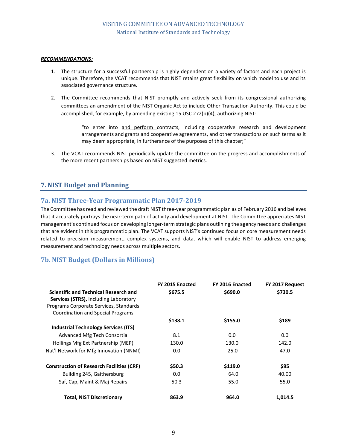#### *RECOMMENDATIONS:*

- 1. The structure for a successful partnership is highly dependent on a variety of factors and each project is unique. Therefore, the VCAT recommends that NIST retains great flexibility on which model to use and its associated governance structure.
- 2. The Committee recommends that NIST promptly and actively seek from its congressional authorizing committees an amendment of the NIST Organic Act to include Other Transaction Authority. This could be accomplished, for example, by amending existing 15 USC 272(b)(4), authorizing NIST:

"to enter into and perform contracts, including cooperative research and development arrangements and grants and cooperative agreements, and other transactions on such terms as it may deem appropriate, in furtherance of the purposes of this chapter;"

3. The VCAT recommends NIST periodically update the committee on the progress and accomplishments of the more recent partnerships based on NIST suggested metrics.

## <span id="page-12-0"></span>**7. NIST Budget and Planning**

### <span id="page-12-1"></span>**7a. NIST Three-Year Programmatic Plan 2017-2019**

The Committee has read and reviewed the draft NIST three-year programmatic plan as of February 2016 and believes that it accurately portrays the near-term path of activity and development at NIST. The Committee appreciates NIST management's continued focus on developing longer-term strategic plans outlining the agency needs and challenges that are evident in this programmatic plan. The VCAT supports NIST's continued focus on core measurement needs related to precision measurement, complex systems, and data, which will enable NIST to address emerging measurement and technology needs across multiple sectors.

# <span id="page-12-2"></span>**7b. NIST Budget (Dollars in Millions)**

| <b>Scientific and Technical Research and</b><br><b>Services (STRS), including Laboratory</b><br>Programs Corporate Services, Standards<br><b>Coordination and Special Programs</b> | FY 2015 Enacted<br>\$675.5 | FY 2016 Enacted<br>\$690.0 | FY 2017 Request<br>\$730.5 |
|------------------------------------------------------------------------------------------------------------------------------------------------------------------------------------|----------------------------|----------------------------|----------------------------|
|                                                                                                                                                                                    | \$138.1                    | \$155.0                    | \$189                      |
| <b>Industrial Technology Services (ITS)</b>                                                                                                                                        |                            |                            |                            |
| Advanced Mfg Tech Consortia                                                                                                                                                        | 8.1                        | 0.0                        | 0.0                        |
| Hollings Mfg Ext Partnership (MEP)                                                                                                                                                 | 130.0                      | 130.0                      | 142.0                      |
| Nat'l Network for Mfg Innovation (NNMI)                                                                                                                                            | 0.0                        | 25.0                       | 47.0                       |
| <b>Construction of Research Facilities (CRF)</b>                                                                                                                                   | \$50.3                     | \$119.0                    | \$95                       |
| Building 245, Gaithersburg                                                                                                                                                         | 0.0                        | 64.0                       | 40.00                      |
| Saf, Cap, Maint & Maj Repairs                                                                                                                                                      | 50.3                       | 55.0                       | 55.0                       |
| <b>Total, NIST Discretionary</b>                                                                                                                                                   | 863.9                      | 964.0                      | 1.014.5                    |